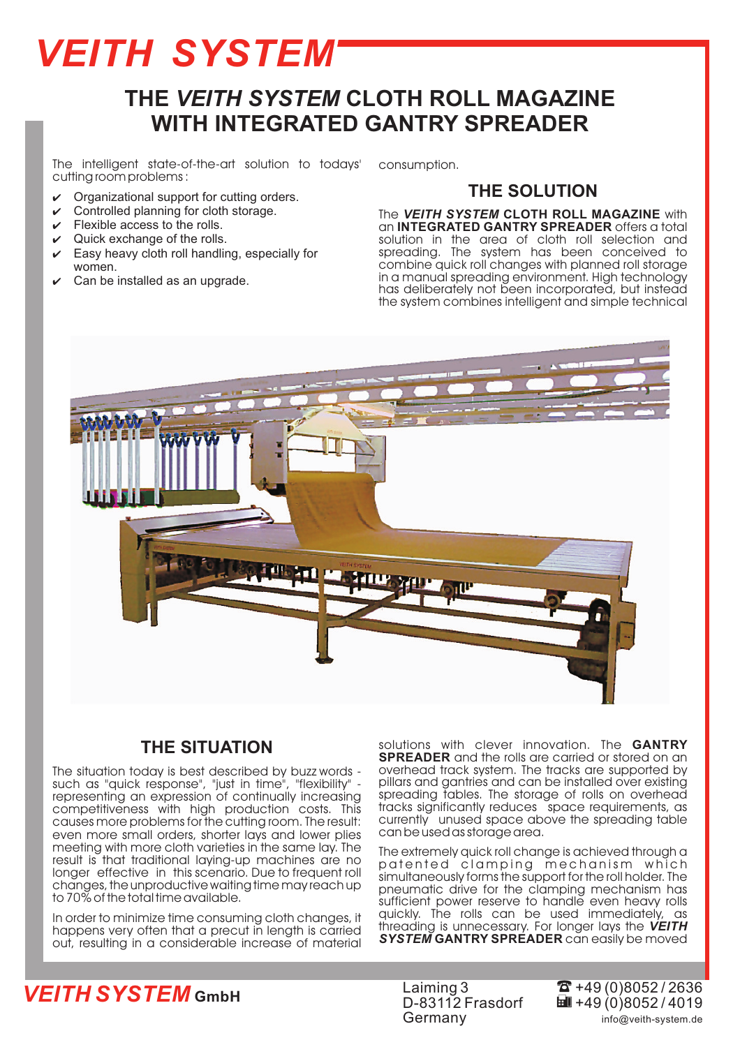## *VEITH SYSTEM*

## **THE VEITH SYSTEM CLOTH ROLL MAGAZINE WITH INTEGRATED GANTRY SPREADER**

The intelligent state-of-the-art solution to todays' cutting room problems :

- $\mathbf v$ Organizational support for cutting orders.
- $\mathbf v$ Controlled planning for cloth storage.
- $\overline{v}$ Flexible access to the rolls.
- $\mathbf v$ Quick exchange of the rolls.
- $\mathbf v$ Easy heavy cloth roll handling, especially for women.
- $\mathbf v$ Can be installed as an upgrade.

consumption.

#### **THE SOLUTION**

**The VEITH SYSTEM CLOTH ROLL MAGAZINE** with an **INTEGRATED GANTRY SPREADER** offers a total solution in the area of cloth roll selection and spreading. The system has been conceived to combine quick roll changes with planned roll storage in a manual spreading environment. High technology has deliberately not been incorporated, but instead the system combines intelligent and simple technical



#### **THE SITUATION**

The situation today is best described by buzz words such as "quick response", "just in time", "flexibility" representing an expression of continually increasing competitiveness with high production costs. This causes more problems for the cutting room. The result: even more small orders, shorter lays and lower plies meeting with more cloth varieties in the same lay. The result is that traditional laying-up machines are no longer effective in this scenario. Due to frequent roll changes, the unproductive waiting time may reach up to 70% of the total time available.

In order to minimize time consuming cloth changes, it happens very often that a precut in length is carried out, resulting in a considerable increase of material

solutions with clever innovation. The and the rolls are carried or stored on an overhead track system. The tracks are supported by pillars and gantries and can be installed over existing spreading tables. The storage of rolls on overhead tracks significantly reduces space requirements, as currently unused space above the spreading table can be used as storage area. **GANTRY SPREADER**

The extremely quick roll change is achieved through a patented clamping mechanism which simultaneously forms the support for the roll holder. The pneumatic drive for the clamping mechanism has sufficient power reserve to handle even heavy rolls quickly. The rolls can be used immediately, as threading is unnecessary. For longer lays the *VEITH* SYSTEM GANTRY SPREADER can easily be moved

### *VEITH SYSTEM* **GmbH** <sup>t</sup>

Laiming 3 D-83112 Frasdorf Germany

 $\overline{m}$  +49 (0)8052/4019  $\overline{3}$  +49 (0)8052 / 2636 info@veith-system.de